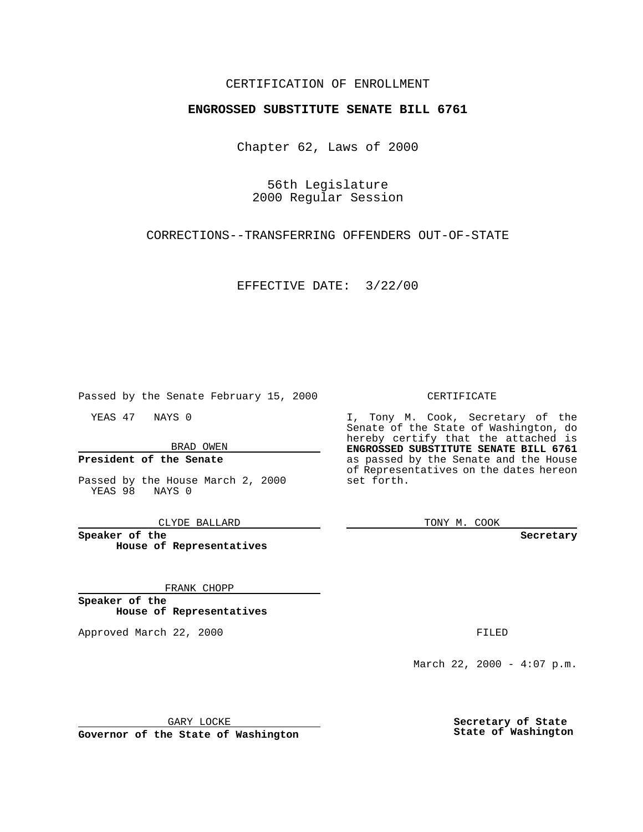### CERTIFICATION OF ENROLLMENT

# **ENGROSSED SUBSTITUTE SENATE BILL 6761**

Chapter 62, Laws of 2000

56th Legislature 2000 Regular Session

CORRECTIONS--TRANSFERRING OFFENDERS OUT-OF-STATE

EFFECTIVE DATE: 3/22/00

Passed by the Senate February 15, 2000

YEAS 47 NAYS 0

BRAD OWEN

### **President of the Senate**

Passed by the House March 2, 2000 YEAS 98 NAYS 0

CLYDE BALLARD

**Speaker of the House of Representatives**

#### FRANK CHOPP

**Speaker of the House of Representatives**

Approved March 22, 2000 FILED

#### CERTIFICATE

I, Tony M. Cook, Secretary of the Senate of the State of Washington, do hereby certify that the attached is **ENGROSSED SUBSTITUTE SENATE BILL 6761** as passed by the Senate and the House of Representatives on the dates hereon set forth.

TONY M. COOK

**Secretary**

March 22, 2000 -  $4:07$  p.m.

GARY LOCKE

**Governor of the State of Washington**

**Secretary of State State of Washington**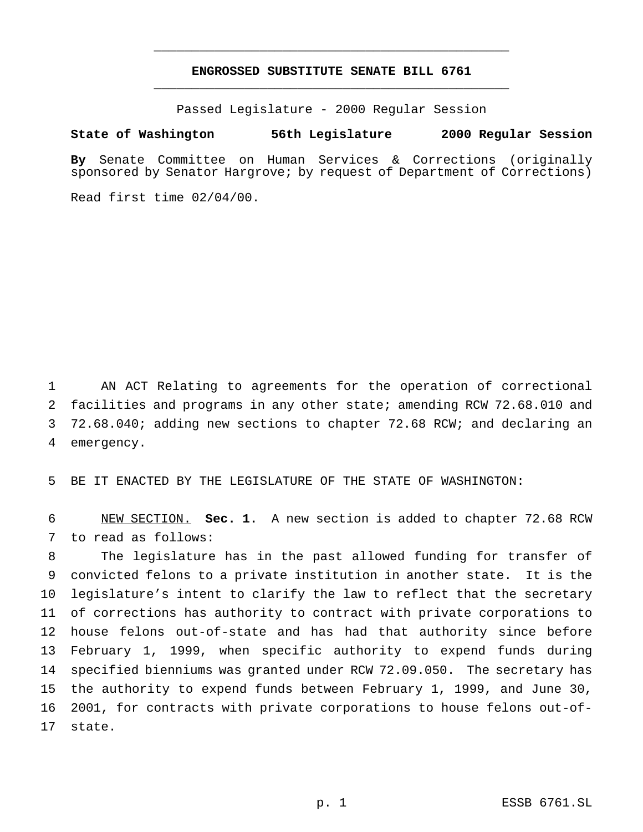## **ENGROSSED SUBSTITUTE SENATE BILL 6761** \_\_\_\_\_\_\_\_\_\_\_\_\_\_\_\_\_\_\_\_\_\_\_\_\_\_\_\_\_\_\_\_\_\_\_\_\_\_\_\_\_\_\_\_\_\_\_

\_\_\_\_\_\_\_\_\_\_\_\_\_\_\_\_\_\_\_\_\_\_\_\_\_\_\_\_\_\_\_\_\_\_\_\_\_\_\_\_\_\_\_\_\_\_\_

Passed Legislature - 2000 Regular Session

#### **State of Washington 56th Legislature 2000 Regular Session**

**By** Senate Committee on Human Services & Corrections (originally sponsored by Senator Hargrove; by request of Department of Corrections)

Read first time 02/04/00.

 AN ACT Relating to agreements for the operation of correctional facilities and programs in any other state; amending RCW 72.68.010 and 72.68.040; adding new sections to chapter 72.68 RCW; and declaring an emergency.

BE IT ENACTED BY THE LEGISLATURE OF THE STATE OF WASHINGTON:

 NEW SECTION. **Sec. 1.** A new section is added to chapter 72.68 RCW to read as follows:

 The legislature has in the past allowed funding for transfer of convicted felons to a private institution in another state. It is the legislature's intent to clarify the law to reflect that the secretary of corrections has authority to contract with private corporations to house felons out-of-state and has had that authority since before February 1, 1999, when specific authority to expend funds during specified bienniums was granted under RCW 72.09.050. The secretary has the authority to expend funds between February 1, 1999, and June 30, 2001, for contracts with private corporations to house felons out-of-state.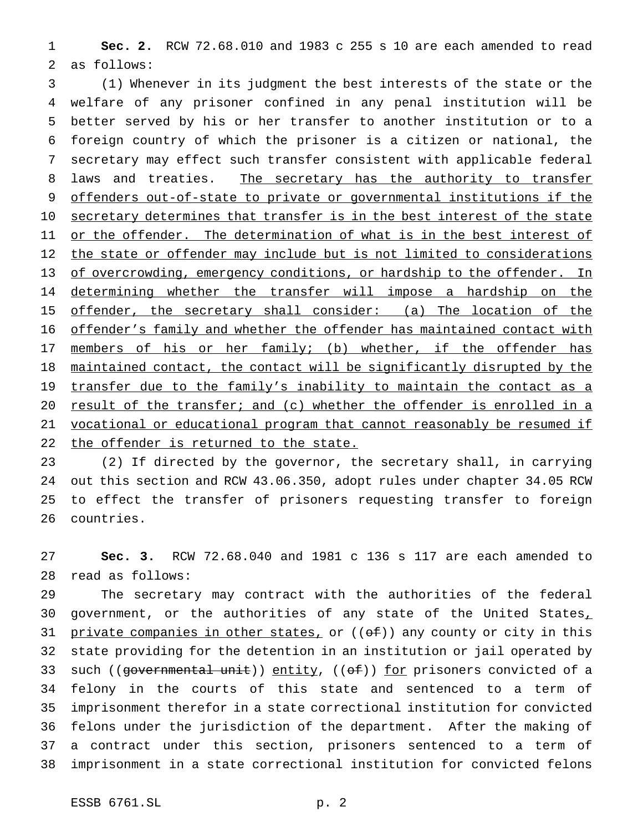**Sec. 2.** RCW 72.68.010 and 1983 c 255 s 10 are each amended to read as follows:

 (1) Whenever in its judgment the best interests of the state or the welfare of any prisoner confined in any penal institution will be better served by his or her transfer to another institution or to a foreign country of which the prisoner is a citizen or national, the secretary may effect such transfer consistent with applicable federal 8 laws and treaties. The secretary has the authority to transfer 9 offenders out-of-state to private or governmental institutions if the 10 secretary determines that transfer is in the best interest of the state 11 or the offender. The determination of what is in the best interest of 12 the state or offender may include but is not limited to considerations 13 of overcrowding, emergency conditions, or hardship to the offender. In 14 determining whether the transfer will impose a hardship on the 15 offender, the secretary shall consider: (a) The location of the offender's family and whether the offender has maintained contact with 17 members of his or her family; (b) whether, if the offender has maintained contact, the contact will be significantly disrupted by the 19 transfer due to the family's inability to maintain the contact as a result of the transfer; and (c) whether the offender is enrolled in a vocational or educational program that cannot reasonably be resumed if 22 the offender is returned to the state.

 (2) If directed by the governor, the secretary shall, in carrying out this section and RCW 43.06.350, adopt rules under chapter 34.05 RCW to effect the transfer of prisoners requesting transfer to foreign countries.

 **Sec. 3.** RCW 72.68.040 and 1981 c 136 s 117 are each amended to read as follows:

 The secretary may contract with the authorities of the federal 30 government, or the authorities of any state of the United States, 31 private companies in other states, or  $((\theta f))$  any county or city in this state providing for the detention in an institution or jail operated by 33 such ((governmental unit)) entity, ((of)) for prisoners convicted of a felony in the courts of this state and sentenced to a term of imprisonment therefor in a state correctional institution for convicted felons under the jurisdiction of the department. After the making of a contract under this section, prisoners sentenced to a term of imprisonment in a state correctional institution for convicted felons